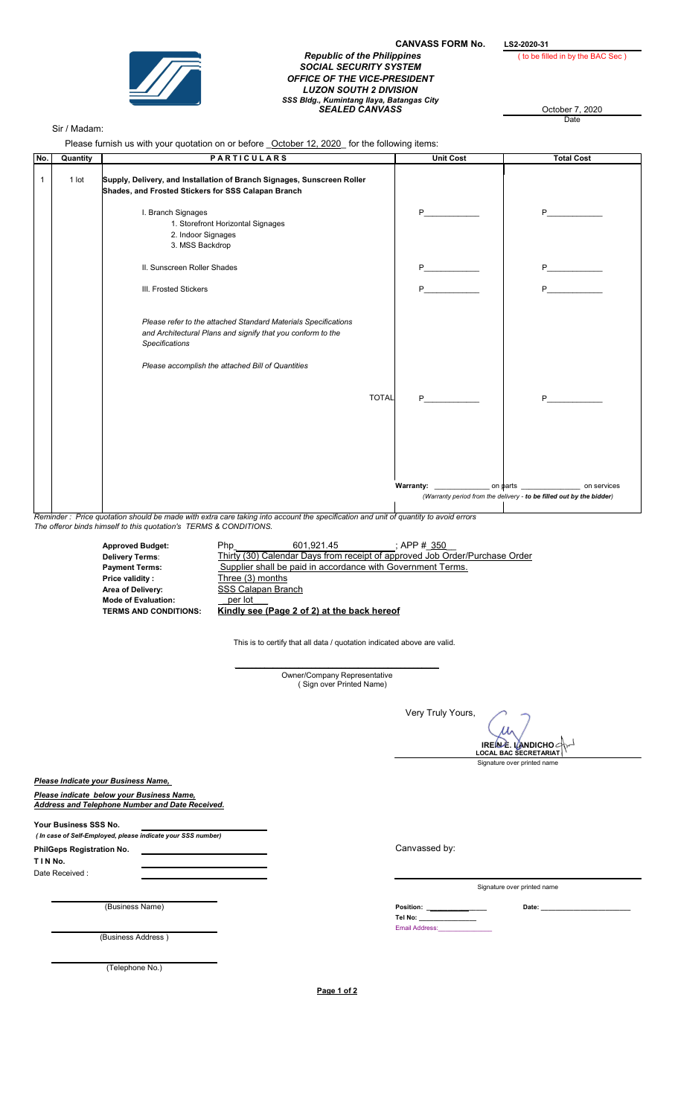

## **CANVASS FORM No.**  $\underbrace{\text{LS2-2020-31}}$  (to be filled in by the BAC Sec) **Republic of the Philippines** SOCIAL SECURITY SYSTEM OFFICE OF THE VICE-PRESIDENT LUZON SOUTH 2 DIVISION SSS Bldg., Kumintang Ilaya, Batangas City<br>SEALED CANVASS October 7, 2020

October 7, 2020

## Sir / Madam:

Please furnish us with your quotation on or before \_October 12, 2020\_ for the following items:

| No.          | Quantity                                                                                                                                                                                                 | <b>PARTICULARS</b>                                                                                                                                                                                          | <b>Unit Cost</b>  | <b>Total Cost</b>                                                    |  |
|--------------|----------------------------------------------------------------------------------------------------------------------------------------------------------------------------------------------------------|-------------------------------------------------------------------------------------------------------------------------------------------------------------------------------------------------------------|-------------------|----------------------------------------------------------------------|--|
| $\mathbf{1}$ | $1$ lot                                                                                                                                                                                                  | Supply, Delivery, and Installation of Branch Signages, Sunscreen Roller<br>Shades, and Frosted Stickers for SSS Calapan Branch                                                                              |                   |                                                                      |  |
|              |                                                                                                                                                                                                          | I. Branch Signages<br>1. Storefront Horizontal Signages<br>2. Indoor Signages<br>3. MSS Backdrop                                                                                                            | P.                | P <sub>2</sub>                                                       |  |
|              |                                                                                                                                                                                                          | II. Sunscreen Roller Shades                                                                                                                                                                                 |                   |                                                                      |  |
|              |                                                                                                                                                                                                          | III. Frosted Stickers                                                                                                                                                                                       | P <sub>2</sub>    | $P$ <sub>1</sub>                                                     |  |
|              |                                                                                                                                                                                                          | Please refer to the attached Standard Materials Specifications<br>and Architectural Plans and signify that you conform to the<br><b>Specifications</b><br>Please accomplish the attached Bill of Quantities |                   |                                                                      |  |
|              |                                                                                                                                                                                                          | <b>TOTAL</b>                                                                                                                                                                                                | $P \qquad \qquad$ | P <sub>2</sub>                                                       |  |
|              |                                                                                                                                                                                                          |                                                                                                                                                                                                             |                   |                                                                      |  |
|              |                                                                                                                                                                                                          |                                                                                                                                                                                                             |                   | (Warranty period from the delivery - to be filled out by the bidder) |  |
|              |                                                                                                                                                                                                          |                                                                                                                                                                                                             |                   |                                                                      |  |
|              | Reminder: Price quotation should be made with extra care taking into account the specification and unit of quantity to avoid errors<br>The offeror binds himself to this quotation's TERMS & CONDITIONS. |                                                                                                                                                                                                             |                   |                                                                      |  |

Approved Budget: Php. 601,921.45 Thirty (30) Calendar Days from receipt of approved Job Order/Purchase Order Payment Terms: Supplier shall be paid in accordance with Government Terms.<br>Price validity: Three (3) months Three (3) months Mode of Evaluation: \_per lot\_\_\_ Kindly see (Page 2 of 2) at the back hereof  $\frac{1}{2}$ ; APP # $\frac{350}{2}$ **SSS Calapan Branch** 

This is to certify that all data / quotation indicated above are valid.

\_\_\_\_\_\_\_\_\_\_\_\_\_\_\_\_\_\_\_\_\_\_\_\_\_\_\_\_\_\_\_\_\_\_\_\_\_\_\_\_\_\_\_\_\_\_\_\_ Owner/Company Representative ( Sign over Printed Name)

Very Truly Yours,

 $\boldsymbol{\mathcal{U}}$ IREIN∕E. I∭ANDICHO<br>LOCAL BAC SECRETARIAT

Signature over printed name

Please Indicate your Business Name,

Please indicate below your Business Name, Address and Telephone Number and Date Received.

Area of Delivery:

Delivery Terms:

Your Business SSS No. ( In case of Self-Employed, please indicate your SSS number) PhilGeps Registration No.

T I N No. Date Received :

(Business Name) Date: \_\_\_\_\_\_\_\_\_\_\_\_\_\_\_\_\_\_\_\_\_\_\_\_\_

(Business Address )

(Telephone No.)

Page 1 of 2

Canvassed by:

Signature over printed name

Tel No: \_\_\_\_\_\_\_\_\_\_\_\_\_\_\_\_ Email Address: \_\_\_\_\_\_\_\_\_\_\_\_\_\_\_\_ Position: \_